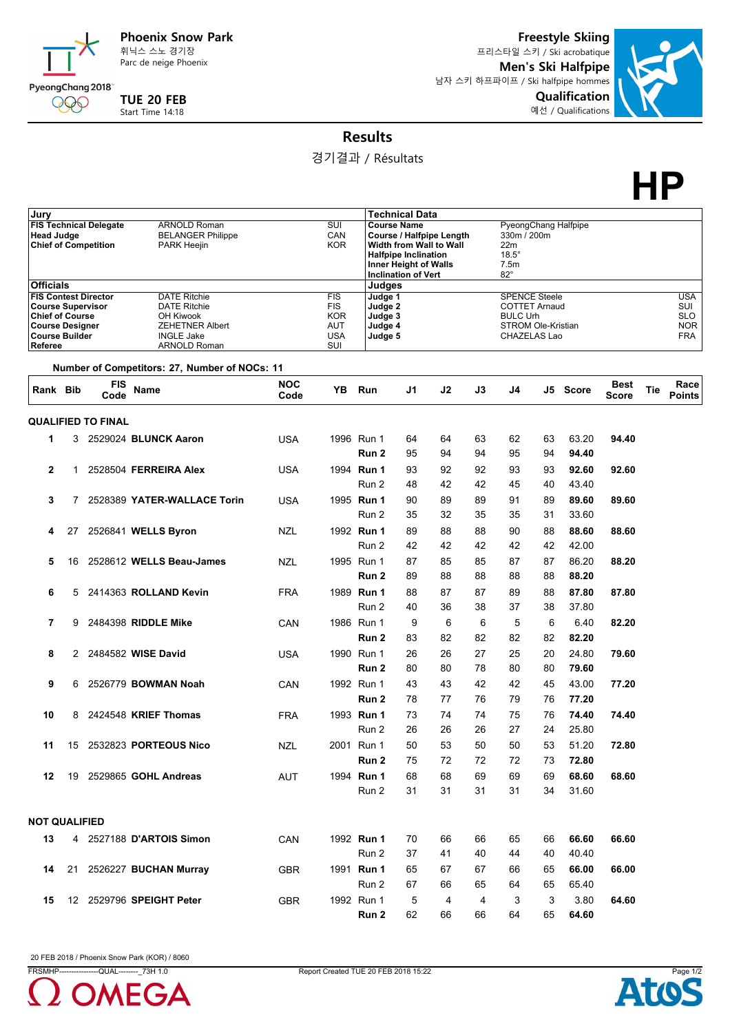

Parc de neige Phoenix

**TUE 20 FEB** Start Time 14:18

**Freestyle Skiing** 프리스타일 스키 / Ski acrobatique **Men's Ski Halfpipe** 남자 스키 하프파이프 / Ski halfpipe hommes



**Results**

경기결과 / Résultats

## **HP**

| Jurv                                                                                                             |    |                           |                                               |                                 |                   |            | <b>Technical Data</b>                                  |    |                      |                                           |             |          |             |            |                          |
|------------------------------------------------------------------------------------------------------------------|----|---------------------------|-----------------------------------------------|---------------------------------|-------------------|------------|--------------------------------------------------------|----|----------------------|-------------------------------------------|-------------|----------|-------------|------------|--------------------------|
| <b>ARNOLD Roman</b><br><b>FIS Technical Delegate</b>                                                             |    |                           |                                               | SUI<br><b>Course Name</b>       |                   |            |                                                        |    | PyeongChang Halfpipe |                                           |             |          |             |            |                          |
| <b>Head Judge</b><br><b>Chief of Competition</b><br><b>PARK Heejin</b>                                           |    |                           |                                               | <b>BELANGER Philippe</b><br>CAN |                   |            | Course / Halfpipe Length                               |    |                      |                                           | 330m / 200m |          |             |            |                          |
|                                                                                                                  |    |                           |                                               |                                 | <b>KOR</b>        |            | Width from Wall to Wall<br><b>Halfpipe Inclination</b> |    |                      |                                           |             |          |             |            |                          |
|                                                                                                                  |    |                           |                                               |                                 |                   |            | <b>Inner Height of Walls</b>                           |    |                      | $18.5^\circ$<br>7.5m                      |             |          |             |            |                          |
|                                                                                                                  |    |                           |                                               |                                 |                   |            | <b>Inclination of Vert</b>                             |    |                      | $82^\circ$                                |             |          |             |            |                          |
| <b>Officials</b><br><b>FIS Contest Director</b><br><b>DATE Ritchie</b>                                           |    |                           |                                               |                                 | <b>FIS</b>        |            | Judges<br>Judge 1                                      |    |                      | <b>SPENCE Steele</b>                      |             |          |             |            | <b>USA</b>               |
| <b>Course Supervisor</b><br><b>DATE Ritchie</b><br><b>Chief of Course</b><br>OH Kiwook<br><b>Course Designer</b> |    |                           |                                               |                                 |                   | Judge 2    |                                                        |    | <b>COTTET Arnaud</b> |                                           |             |          |             | SUI        |                          |
|                                                                                                                  |    |                           |                                               |                                 | <b>KOR</b>        |            | Judge 3                                                |    |                      | <b>BULC Urh</b>                           |             |          |             | <b>SLO</b> |                          |
| <b>Course Builder</b>                                                                                            |    |                           | <b>ZEHETNER Albert</b><br><b>INGLE Jake</b>   |                                 | AUT<br><b>USA</b> |            | Judge 4<br>Judge 5                                     |    |                      | <b>STROM Ole-Kristian</b><br>CHAZELAS Lao |             |          |             |            | <b>NOR</b><br><b>FRA</b> |
| Referee                                                                                                          |    |                           | <b>ARNOLD Roman</b>                           |                                 | SUI               |            |                                                        |    |                      |                                           |             |          |             |            |                          |
|                                                                                                                  |    |                           | Number of Competitors: 27, Number of NOCs: 11 |                                 |                   |            |                                                        |    |                      |                                           |             |          |             |            |                          |
| Rank Bib                                                                                                         |    | <b>FIS</b>                | <b>Name</b>                                   | <b>NOC</b>                      | YB                | Run        | J1                                                     | J2 | J3                   | J4                                        |             | J5 Score | <b>Best</b> | Tie        | Race                     |
|                                                                                                                  |    | Code                      |                                               | Code                            |                   |            |                                                        |    |                      |                                           |             |          | Score       |            | <b>Points</b>            |
|                                                                                                                  |    | <b>QUALIFIED TO FINAL</b> |                                               |                                 |                   |            |                                                        |    |                      |                                           |             |          |             |            |                          |
| 1                                                                                                                | 3  |                           | 2529024 BLUNCK Aaron                          | <b>USA</b>                      |                   | 1996 Run 1 | 64                                                     | 64 | 63                   | 62                                        | 63          | 63.20    | 94.40       |            |                          |
|                                                                                                                  |    |                           |                                               |                                 |                   | Run 2      | 95                                                     | 94 | 94                   | 95                                        | 94          | 94.40    |             |            |                          |
| $\mathbf{2}$                                                                                                     | 1  |                           | 2528504 FERREIRA Alex                         | <b>USA</b>                      |                   | 1994 Run 1 | 93                                                     | 92 | 92                   | 93                                        | 93          | 92.60    | 92.60       |            |                          |
|                                                                                                                  |    |                           |                                               |                                 |                   | Run 2      | 48                                                     | 42 | 42                   | 45                                        | 40          | 43.40    |             |            |                          |
| 3                                                                                                                | 7  |                           | 2528389 YATER-WALLACE Torin                   |                                 |                   | 1995 Run 1 | 90                                                     | 89 | 89                   | 91                                        | 89          | 89.60    | 89.60       |            |                          |
|                                                                                                                  |    |                           |                                               | <b>USA</b>                      |                   |            |                                                        |    |                      |                                           |             |          |             |            |                          |
|                                                                                                                  |    |                           |                                               |                                 |                   | Run 2      | 35                                                     | 32 | 35                   | 35                                        | 31          | 33.60    |             |            |                          |
| 4                                                                                                                | 27 |                           | 2526841 WELLS Byron                           | <b>NZL</b>                      |                   | 1992 Run 1 | 89                                                     | 88 | 88                   | 90                                        | 88          | 88.60    | 88.60       |            |                          |
|                                                                                                                  |    |                           |                                               |                                 |                   | Run 2      | 42                                                     | 42 | 42                   | 42                                        | 42          | 42.00    |             |            |                          |
| 5                                                                                                                | 16 |                           | 2528612 WELLS Beau-James                      | <b>NZL</b>                      |                   | 1995 Run 1 | 87                                                     | 85 | 85                   | 87                                        | 87          | 86.20    | 88.20       |            |                          |
|                                                                                                                  |    |                           |                                               |                                 |                   | Run 2      | 89                                                     | 88 | 88                   | 88                                        | 88          | 88.20    |             |            |                          |
| 6                                                                                                                | 5  |                           | 2414363 ROLLAND Kevin                         | <b>FRA</b>                      |                   | 1989 Run 1 | 88                                                     | 87 | 87                   | 89                                        | 88          | 87.80    | 87.80       |            |                          |
|                                                                                                                  |    |                           |                                               |                                 |                   | Run 2      | 40                                                     | 36 | 38                   | 37                                        | 38          | 37.80    |             |            |                          |
| 7                                                                                                                | 9  |                           | 2484398 RIDDLE Mike                           | CAN                             |                   | 1986 Run 1 | 9                                                      | 6  | 6                    | 5                                         | 6           | 6.40     | 82.20       |            |                          |
|                                                                                                                  |    |                           |                                               |                                 |                   | Run 2      | 83                                                     | 82 | 82                   | 82                                        | 82          | 82.20    |             |            |                          |
| 8                                                                                                                | 2  |                           | 2484582 WISE David                            | <b>USA</b>                      |                   | 1990 Run 1 | 26                                                     | 26 | 27                   | 25                                        | 20          | 24.80    | 79.60       |            |                          |
|                                                                                                                  |    |                           |                                               |                                 |                   | Run 2      | 80                                                     | 80 | 78                   | 80                                        | 80          | 79.60    |             |            |                          |
|                                                                                                                  |    |                           |                                               |                                 |                   |            |                                                        |    | 42                   | 42                                        |             |          |             |            |                          |
| 9                                                                                                                | 6  |                           | 2526779 <b>BOWMAN Noah</b>                    | CAN                             |                   | 1992 Run 1 | 43                                                     | 43 |                      |                                           | 45          | 43.00    | 77.20       |            |                          |
|                                                                                                                  |    |                           |                                               |                                 |                   | Run 2      | 78                                                     | 77 | 76                   | 79                                        | 76          | 77.20    |             |            |                          |
| 10                                                                                                               | 8  |                           | 2424548 KRIEF Thomas                          | <b>FRA</b>                      |                   | 1993 Run 1 | 73                                                     | 74 | 74                   | 75                                        | 76          | 74.40    | 74.40       |            |                          |
|                                                                                                                  |    |                           |                                               |                                 |                   | Run 2      | 26                                                     | 26 | 26                   | 27                                        | 24          | 25.80    |             |            |                          |
| 11                                                                                                               | 15 |                           | 2532823 PORTEOUS Nico                         | NZL                             |                   | 2001 Run 1 | 50                                                     | 53 | 50                   | 50                                        | 53          | 51.20    | 72.80       |            |                          |
|                                                                                                                  |    |                           |                                               |                                 |                   | Run 2      | 75                                                     | 72 | 72                   | 72                                        | 73          | 72.80    |             |            |                          |
| 12                                                                                                               | 19 |                           | 2529865 GOHL Andreas                          | <b>AUT</b>                      |                   | 1994 Run 1 | 68                                                     | 68 | 69                   | 69                                        | 69          | 68.60    | 68.60       |            |                          |
|                                                                                                                  |    |                           |                                               |                                 |                   | Run 2      | 31                                                     | 31 | 31                   | 31                                        | 34          | 31.60    |             |            |                          |
|                                                                                                                  |    |                           |                                               |                                 |                   |            |                                                        |    |                      |                                           |             |          |             |            |                          |
| <b>NOT QUALIFIED</b>                                                                                             |    |                           |                                               |                                 |                   |            |                                                        |    |                      |                                           |             |          |             |            |                          |
| 13                                                                                                               |    |                           | 4 2527188 D'ARTOIS Simon                      | CAN                             |                   | 1992 Run 1 | 70                                                     | 66 | 66                   | 65                                        | 66          | 66.60    | 66.60       |            |                          |
|                                                                                                                  |    |                           |                                               |                                 |                   | Run 2      | 37                                                     | 41 | 40                   | 44                                        | 40          | 40.40    |             |            |                          |
| 14                                                                                                               |    |                           | 21 2526227 BUCHAN Murray                      | GBR                             |                   | 1991 Run 1 | 65                                                     | 67 | 67                   | 66                                        | 65          | 66.00    | 66.00       |            |                          |
|                                                                                                                  |    |                           |                                               |                                 |                   | Run 2      | 67                                                     | 66 | 65                   | 64                                        | 65          | 65.40    |             |            |                          |
| 15                                                                                                               |    |                           | 12 2529796 SPEIGHT Peter                      | <b>GBR</b>                      |                   | 1992 Run 1 | 5                                                      | 4  | 4                    | 3                                         | 3           | 3.80     | 64.60       |            |                          |
|                                                                                                                  |    |                           |                                               |                                 |                   | Run 2      | 62                                                     | 66 | 66                   | 64                                        | 65          | 64.60    |             |            |                          |

20 FEB 2018 / Phoenix Snow Park (KOR) / 8060